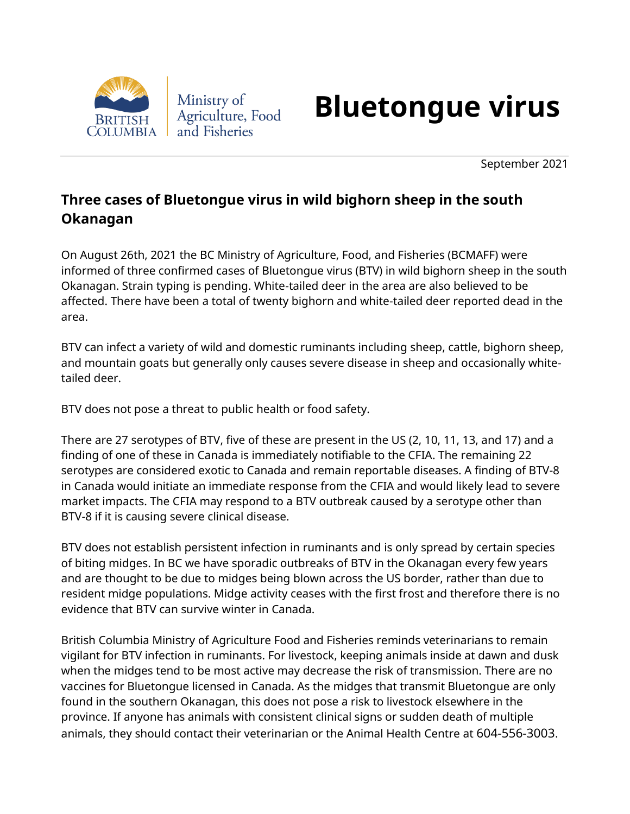

## **Bluetongue virus**

September 2021

## **Three cases of Bluetongue virus in wild bighorn sheep in the south Okanagan**

On August 26th, 2021 the BC Ministry of Agriculture, Food, and Fisheries (BCMAFF) were informed of three confirmed cases of Bluetongue virus (BTV) in wild bighorn sheep in the south Okanagan. Strain typing is pending. White-tailed deer in the area are also believed to be affected. There have been a total of twenty bighorn and white-tailed deer reported dead in the area.

BTV can infect a variety of wild and domestic ruminants including sheep, cattle, bighorn sheep, and mountain goats but generally only causes severe disease in sheep and occasionally whitetailed deer.

BTV does not pose a threat to public health or food safety.

There are 27 serotypes of BTV, five of these are present in the US (2, 10, 11, 13, and 17) and a finding of one of these in Canada is immediately notifiable to the CFIA. The remaining 22 serotypes are considered exotic to Canada and remain reportable diseases. A finding of BTV-8 in Canada would initiate an immediate response from the CFIA and would likely lead to severe market impacts. The CFIA may respond to a BTV outbreak caused by a serotype other than BTV-8 if it is causing severe clinical disease.

BTV does not establish persistent infection in ruminants and is only spread by certain species of biting midges. In BC we have sporadic outbreaks of BTV in the Okanagan every few years and are thought to be due to midges being blown across the US border, rather than due to resident midge populations. Midge activity ceases with the first frost and therefore there is no evidence that BTV can survive winter in Canada.

British Columbia Ministry of Agriculture Food and Fisheries reminds veterinarians to remain vigilant for BTV infection in ruminants. For livestock, keeping animals inside at dawn and dusk when the midges tend to be most active may decrease the risk of transmission. There are no vaccines for Bluetongue licensed in Canada. As the midges that transmit Bluetongue are only found in the southern Okanagan, this does not pose a risk to livestock elsewhere in the province. If anyone has animals with consistent clinical signs or sudden death of multiple animals, they should contact their veterinarian or the Animal Health Centre at 604-556-3003.